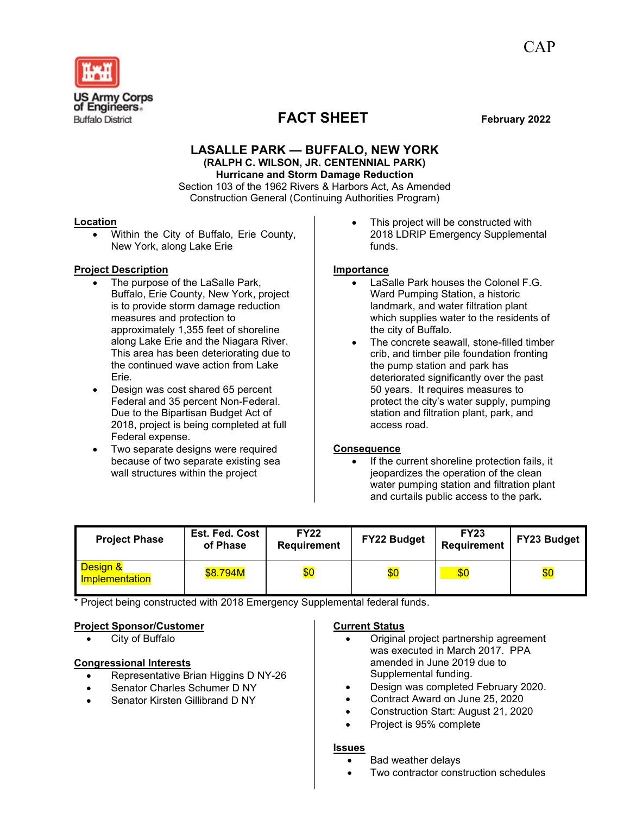

## **LASALLE PARK — BUFFALO, NEW YORK (RALPH C. WILSON, JR. CENTENNIAL PARK) Hurricane and Storm Damage Reduction**

Section 103 of the 1962 Rivers & Harbors Act, As Amended Construction General (Continuing Authorities Program)

#### **Location**

• Within the City of Buffalo, Erie County, New York, along Lake Erie

#### **Project Description**

- The purpose of the LaSalle Park, Buffalo, Erie County, New York, project is to provide storm damage reduction measures and protection to approximately 1,355 feet of shoreline along Lake Erie and the Niagara River. This area has been deteriorating due to the continued wave action from Lake Erie.
- Design was cost shared 65 percent Federal and 35 percent Non-Federal. Due to the Bipartisan Budget Act of 2018, project is being completed at full Federal expense.
- Two separate designs were required because of two separate existing sea wall structures within the project

This project will be constructed with 2018 LDRIP Emergency Supplemental funds.

#### **Importance**

- LaSalle Park houses the Colonel F.G. Ward Pumping Station, a historic landmark, and water filtration plant which supplies water to the residents of the city of Buffalo.
- The concrete seawall, stone-filled timber crib, and timber pile foundation fronting the pump station and park has deteriorated significantly over the past 50 years. It requires measures to protect the city's water supply, pumping station and filtration plant, park, and access road.

### **Consequence**

If the current shoreline protection fails, it jeopardizes the operation of the clean water pumping station and filtration plant and curtails public access to the park**.**

| <b>Project Phase</b>                  | <b>Est. Fed. Cost</b><br>of Phase | <b>FY22</b><br><b>Requirement</b> | <b>FY22 Budget</b> | <b>FY23</b><br>Requirement | <b>FY23 Budget</b> |
|---------------------------------------|-----------------------------------|-----------------------------------|--------------------|----------------------------|--------------------|
| <b>Design &amp;</b><br>Implementation | \$8.794M                          | \$0                               | \$0                | \$0                        | \$0                |

\* Project being constructed with 2018 Emergency Supplemental federal funds.

### **Project Sponsor/Customer**

City of Buffalo

### **Congressional Interests**

- Representative Brian Higgins D NY-26
- Senator Charles Schumer D NY
- Senator Kirsten Gillibrand D NY

#### **Current Status**

- Original project partnership agreement was executed in March 2017. PPA amended in June 2019 due to Supplemental funding.
- Design was completed February 2020.
- Contract Award on June 25, 2020
- Construction Start: August 21, 2020
- Project is 95% complete

#### **Issues**

- Bad weather delays
- Two contractor construction schedules